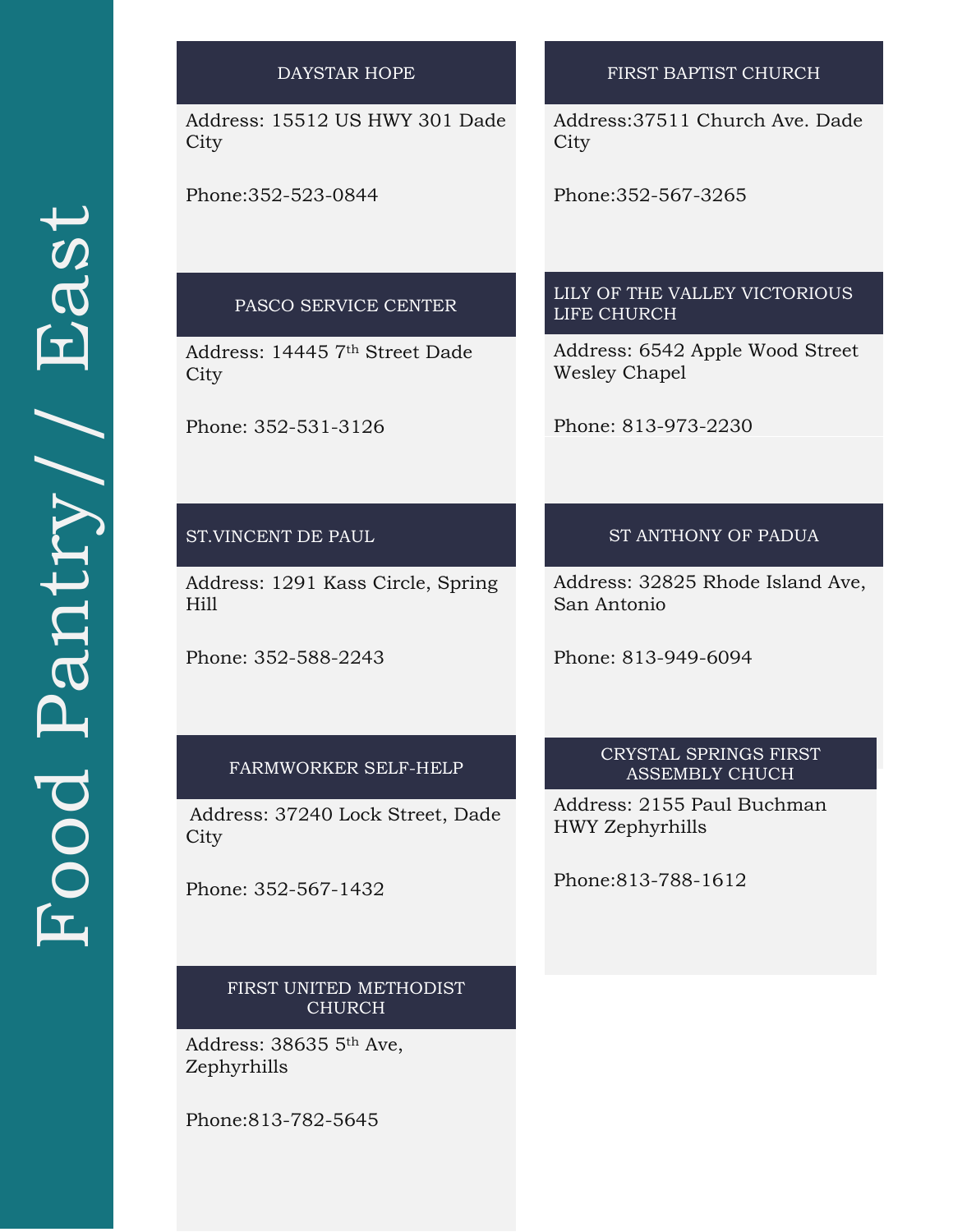| <b>DAYSTAR HOPE</b>                       | FIRST BAPTIST CHURCH                                    |
|-------------------------------------------|---------------------------------------------------------|
| Address: 15512 US HWY 301 Dade<br>City    | Address: 37511 Church Ave. Dade<br>City                 |
| Phone: 352-523-0844                       | Phone: 352-567-3265                                     |
|                                           | LILY OF THE VALLEY VICTORIOUS                           |
| PASCO SERVICE CENTER                      | <b>LIFE CHURCH</b>                                      |
| Address: 14445 7th Street Dade<br>City    | Address: 6542 Apple Wood Street<br><b>Wesley Chapel</b> |
| Phone: 352-531-3126                       | Phone: 813-973-2230                                     |
|                                           |                                                         |
| ST.VINCENT DE PAUL                        | ST ANTHONY OF PADUA                                     |
| Address: 1291 Kass Circle, Spring<br>Hill | Address: 32825 Rhode Island Ave,<br>San Antonio         |
| Phone: 352-588-2243                       | Phone: 813-949-6094                                     |
|                                           |                                                         |
| FARMWORKER SELF-HELP                      | CRYSTAL SPRINGS FIRST<br><b>ASSEMBLY CHUCH</b>          |
| Address: 37240 Lock Street, Dade<br>City  | Address: 2155 Paul Buchman<br>HWY Zephyrhills           |
| Phone: 352-567-1432                       | Phone: 813-788-1612                                     |
|                                           |                                                         |
| FIRST UNITED METHODIST<br><b>CHURCH</b>   |                                                         |
| Address: 38635 5th Ave,<br>Zephyrhills    |                                                         |
| Phone: 813-782-5645                       |                                                         |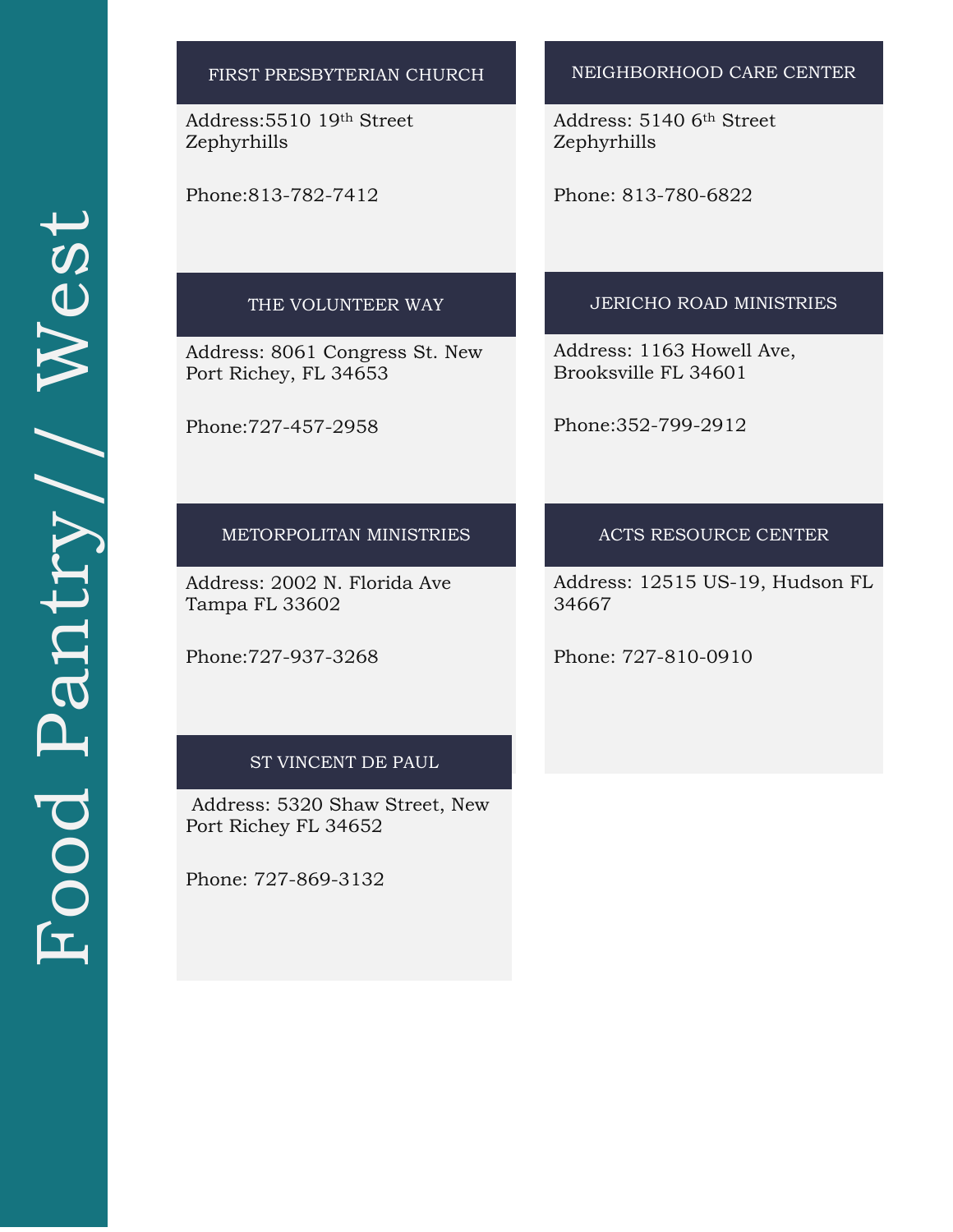| FIRST PRESBYTERIAN CHURCH                               | NEIGHBORHOOD CARE CENTER                          |
|---------------------------------------------------------|---------------------------------------------------|
| Address: 5510 19th Street<br>Zephyrhills                | Address: 5140 6th Street<br>Zephyrhills           |
| Phone: 813-782-7412                                     | Phone: 813-780-6822                               |
| THE VOLUNTEER WAY                                       | <b>JERICHO ROAD MINISTRIES</b>                    |
| Address: 8061 Congress St. New<br>Port Richey, FL 34653 | Address: 1163 Howell Ave,<br>Brooksville FL 34601 |
| Phone: 727-457-2958                                     | Phone: 352-799-2912                               |
| METORPOLITAN MINISTRIES                                 | ACTS RESOURCE CENTER                              |
| Address: 2002 N. Florida Ave<br>Tampa FL 33602          | Address: 12515 US-19, Hudson FL<br>34667          |
| Phone: 727-937-3268                                     | Phone: 727-810-0910                               |
| ST VINCENT DE PAUL                                      |                                                   |
| Address: 5320 Shaw Street, New<br>Port Richey FL 34652  |                                                   |
| Phone: 727-869-3132                                     |                                                   |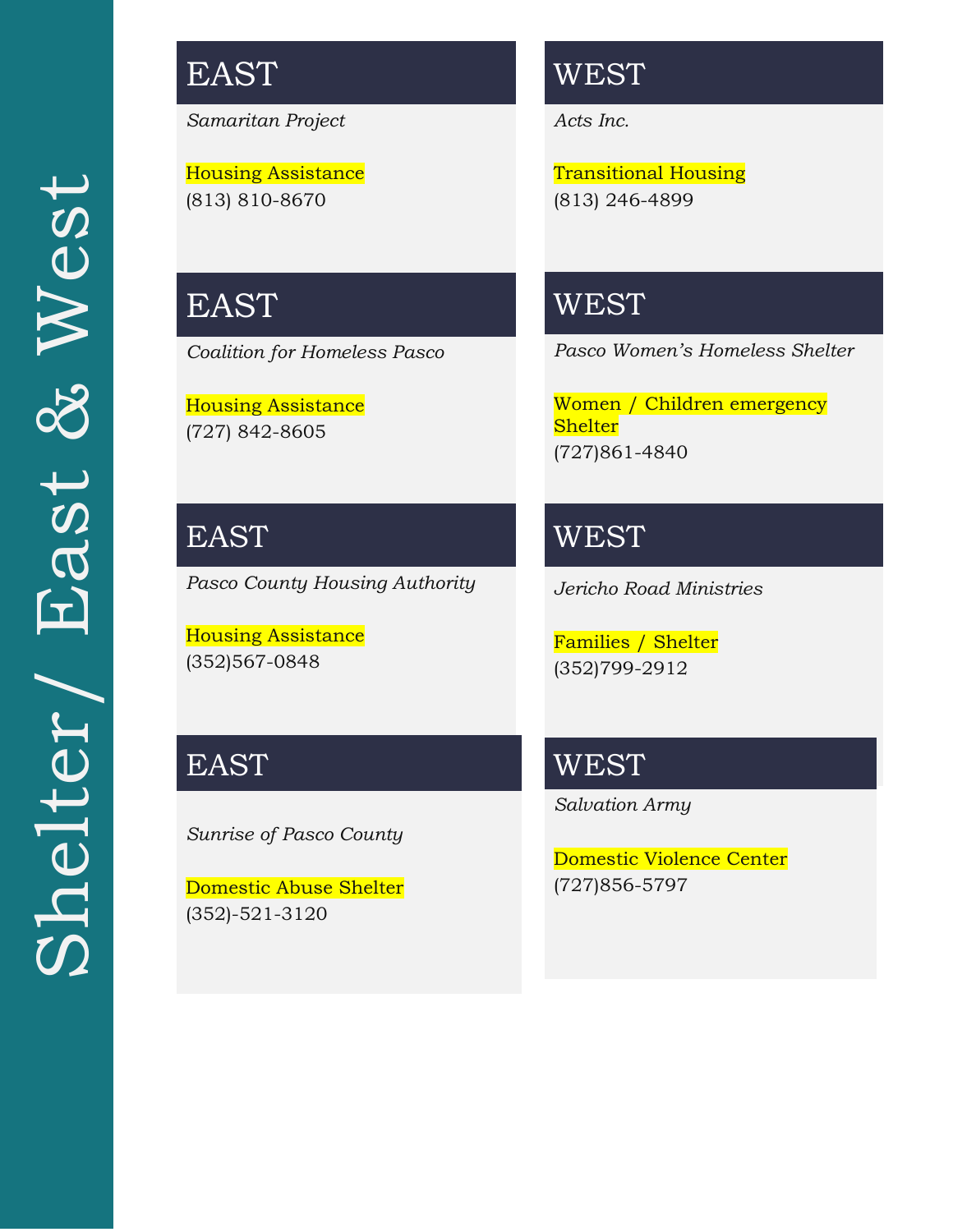# EAST

*Samaritan Project*

Housing Assistance (813) 810-8670

### **WEST**

*Acts Inc.*

Transitional Housing (813) 246-4899

# EAST

*Coalition for Homeless Pasco* 

Housing Assistance (727) 842-8605

EAST *Pasco County Housing Authority* 

Housing Assistance (352)567-0848

## EAST

*Sunrise of Pasco County* 

Domestic Abuse Shelter (352)-521-3120

## **WEST**

*Pasco Women's Homeless Shelter*

Women / Children emergency **Shelter** (727)861-4840

WEST

*Jericho Road Ministries*

Families / Shelter (352)799-2912

**WEST** 

*Salvation Army*

Domestic Violence Center (727)856-5797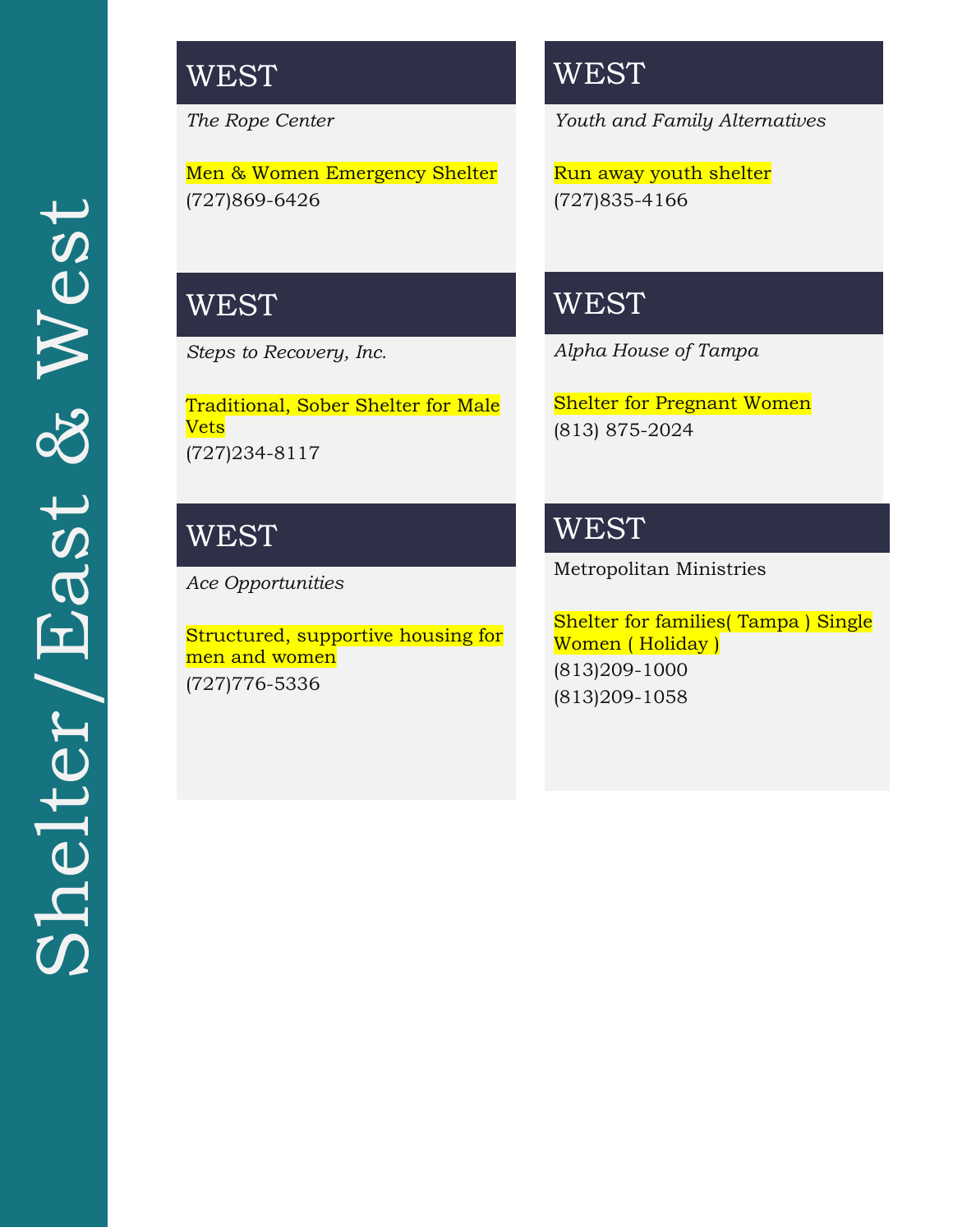## **WEST**

*The Rope Center* 

Men & Women Emergency Shelter (727)869-6426

### WEST

*Steps to Recovery, Inc.*

Traditional, Sober Shelter for Male Vets (727)234-8117

## **WEST**

*Ace Opportunities*

Structured, supportive housing for men and women (727)776-5336

## **WEST**

*Youth and Family Alternatives*

Run away youth shelter (727)835-4166

## **WEST**

*Alpha House of Tampa*

Shelter for Pregnant Women (813) 875-2024

### WEST

Metropolitan Ministries

Shelter for families( Tampa ) Single Women ( Holiday ) (813)209-1000 (813)209-1058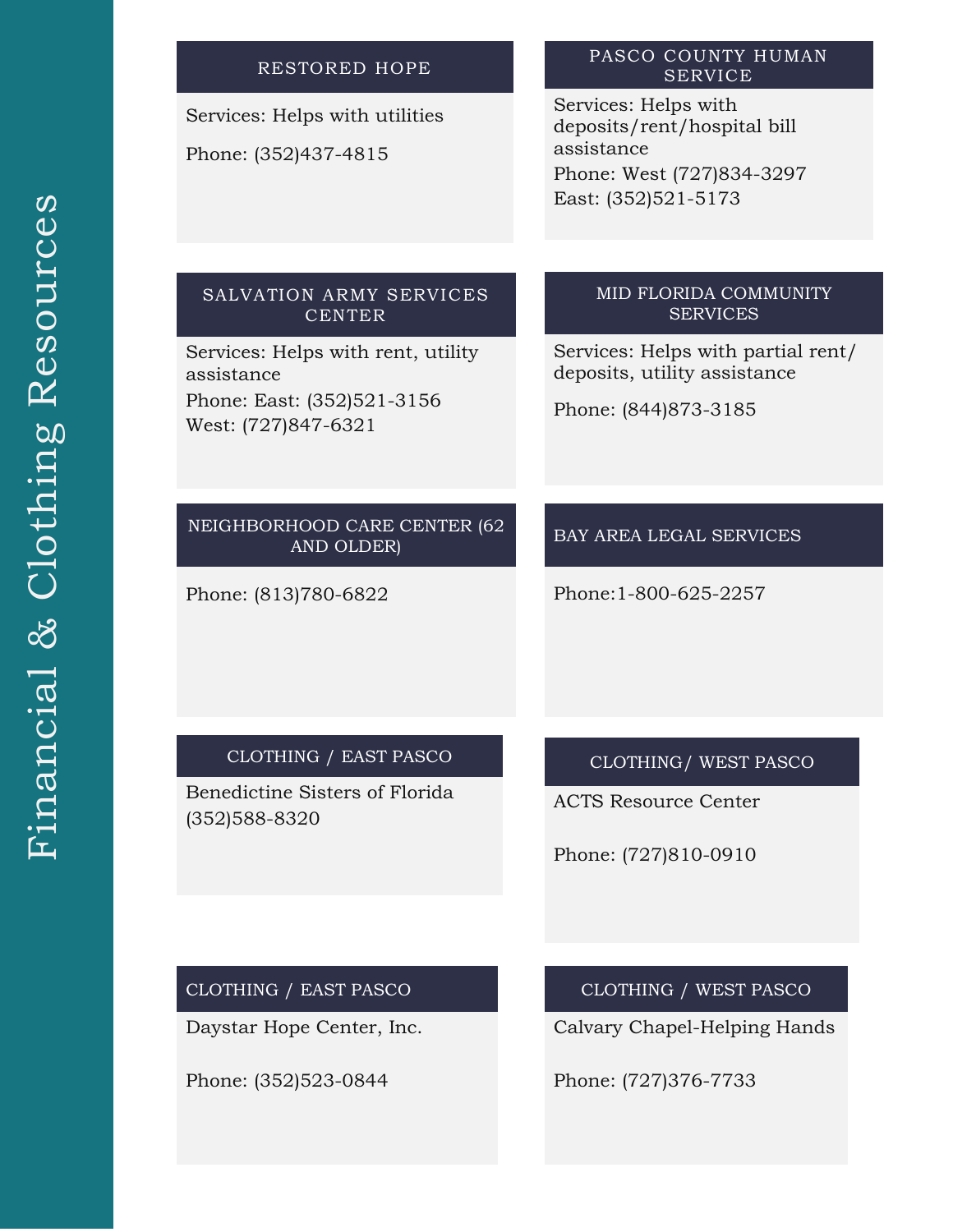### RESTORED HOPE SERVICE Services: Helps with assistance East: (352)521-5173 SALVATION ARMY SERVICES CENTER Services: Helps with rent, utility assistance Phone: East: (352)521-3156 West: (727)847-6321 MID FLORIDA COMMUNITY SERVICES Services: Helps with partial rent/ deposits, utility assistance Phone: (844)873-3185

Phone: (813)780-6822

NEIGHBORHOOD CARE CENTER (62 AND OLDER)

CLOTHING / EAST PASCO

Benedictine Sisters of Florida

(352)588-8320

CLOTHING/ WEST PASCO

BAY AREA LEGAL SERVICES

Phone:1-800-625-2257

ACTS Resource Center

Phone: (727)810-0910

#### CLOTHING / EAST PASCO

Daystar Hope Center, Inc.

Phone: (352)523-0844

CLOTHING / WEST PASCO

Calvary Chapel-Helping Hands

Phone: (727)376-7733

Services: Helps with utilities Phone: (352)437-4815

# PASCO COUNTY HUMAN

deposits/rent/hospital bill Phone: West (727)834-3297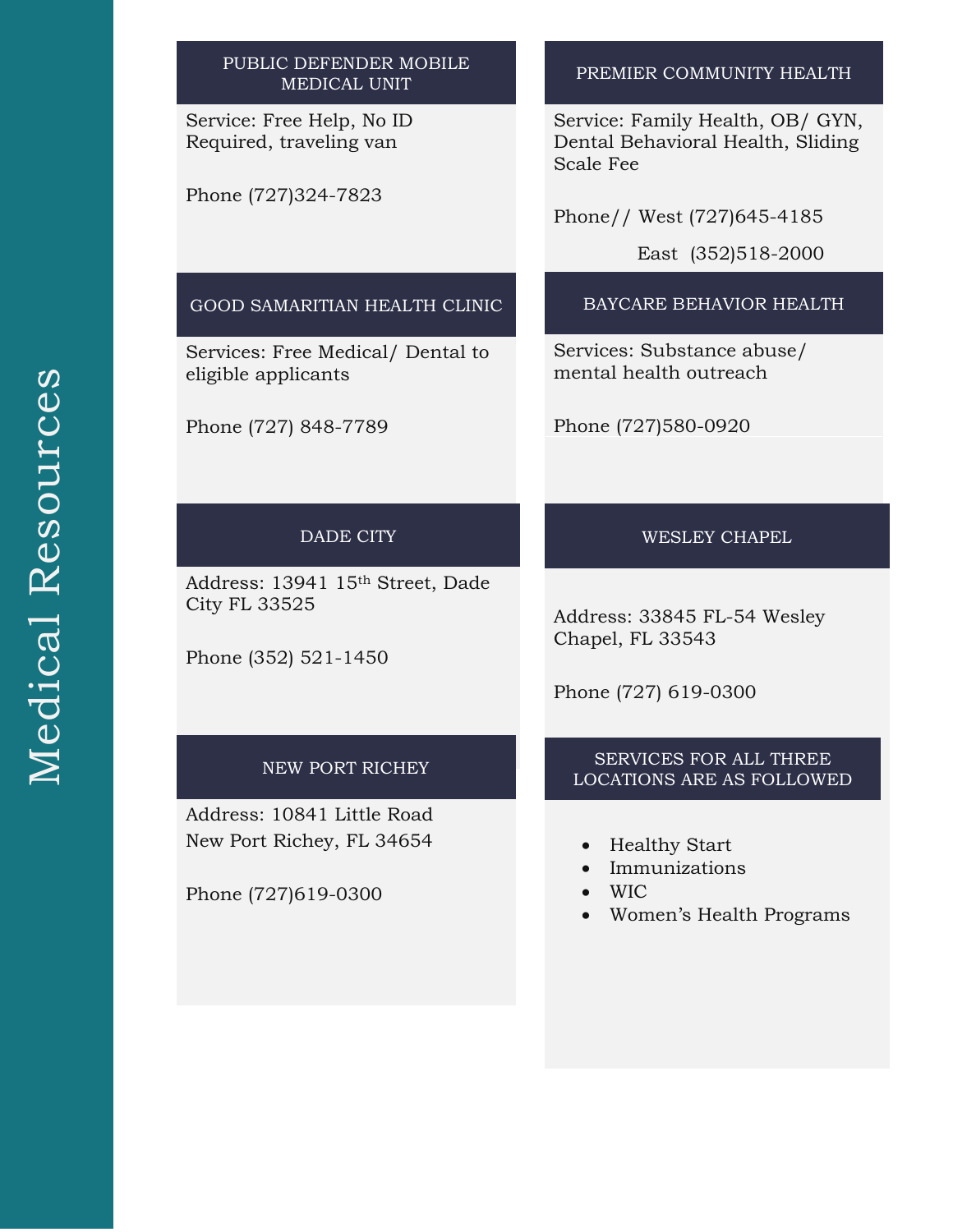#### PUBLIC DEFENDER MOBILE MEDICAL UNIT

Service: Free Help, No ID Required, traveling van

Phone (727)324-7823

#### PREMIER COMMUNITY HEALTH

Service: Family Health, OB/ GYN, Dental Behavioral Health, Sliding Scale Fee

Phone// West (727)645-4185

East (352)518-2000

#### GOOD SAMARITIAN HEALTH CLINIC

Services: Free Medical/ Dental to eligible applicants

Phone (727) 848-7789

#### BAYCARE BEHAVIOR HEALTH

Services: Substance abuse/ mental health outreach

Phone (727)580-0920

#### DADE CITY

Address: 13941 15th Street, Dade City FL 33525

Phone (352) 521-1450

#### NEW PORT RICHEY

Address: 10841 Little Road New Port Richey, FL 34654

Phone (727)619-0300

#### WESLEY CHAPEL

Address: 33845 FL-54 Wesley Chapel, FL 33543

Phone (727) 619-0300

#### SERVICES FOR ALL THREE LOCATIONS ARE AS FOLLOWED

- Healthy Start
- Immunizations
- WIC
- Women's Health Programs